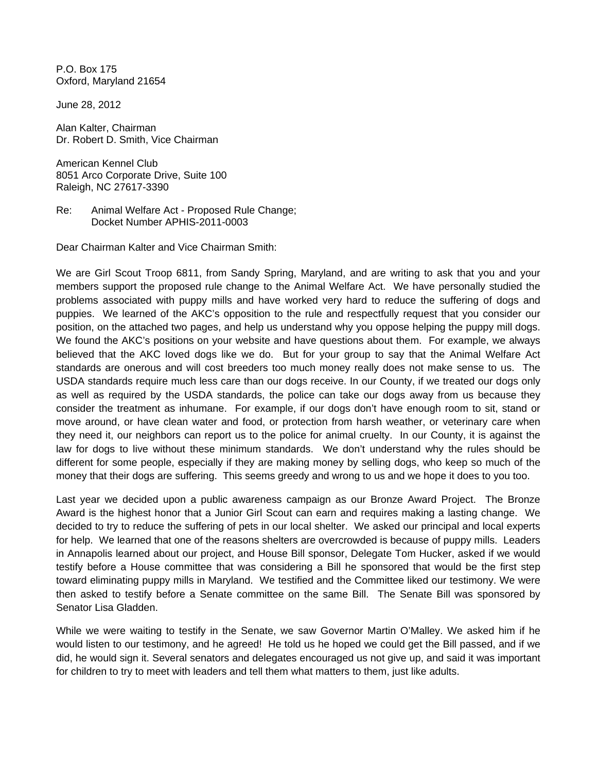P.O. Box 175 Oxford, Maryland 21654

June 28, 2012

Alan Kalter, Chairman Dr. Robert D. Smith, Vice Chairman

American Kennel Club 8051 Arco Corporate Drive, Suite 100 Raleigh, NC 27617-3390

Re: Animal Welfare Act - Proposed Rule Change; Docket Number APHIS-2011-0003

Dear Chairman Kalter and Vice Chairman Smith:

We are Girl Scout Troop 6811, from Sandy Spring, Maryland, and are writing to ask that you and your members support the proposed rule change to the Animal Welfare Act. We have personally studied the problems associated with puppy mills and have worked very hard to reduce the suffering of dogs and puppies. We learned of the AKC's opposition to the rule and respectfully request that you consider our position, on the attached two pages, and help us understand why you oppose helping the puppy mill dogs. We found the AKC's positions on your website and have questions about them. For example, we always believed that the AKC loved dogs like we do. But for your group to say that the Animal Welfare Act standards are onerous and will cost breeders too much money really does not make sense to us. The USDA standards require much less care than our dogs receive. In our County, if we treated our dogs only as well as required by the USDA standards, the police can take our dogs away from us because they consider the treatment as inhumane. For example, if our dogs don't have enough room to sit, stand or move around, or have clean water and food, or protection from harsh weather, or veterinary care when they need it, our neighbors can report us to the police for animal cruelty. In our County, it is against the law for dogs to live without these minimum standards. We don't understand why the rules should be different for some people, especially if they are making money by selling dogs, who keep so much of the money that their dogs are suffering. This seems greedy and wrong to us and we hope it does to you too.

Last year we decided upon a public awareness campaign as our Bronze Award Project. The Bronze Award is the highest honor that a Junior Girl Scout can earn and requires making a lasting change. We decided to try to reduce the suffering of pets in our local shelter. We asked our principal and local experts for help. We learned that one of the reasons shelters are overcrowded is because of puppy mills. Leaders in Annapolis learned about our project, and House Bill sponsor, Delegate Tom Hucker, asked if we would testify before a House committee that was considering a Bill he sponsored that would be the first step toward eliminating puppy mills in Maryland. We testified and the Committee liked our testimony. We were then asked to testify before a Senate committee on the same Bill. The Senate Bill was sponsored by Senator Lisa Gladden.

While we were waiting to testify in the Senate, we saw Governor Martin O'Malley. We asked him if he would listen to our testimony, and he agreed! He told us he hoped we could get the Bill passed, and if we did, he would sign it. Several senators and delegates encouraged us not give up, and said it was important for children to try to meet with leaders and tell them what matters to them, just like adults.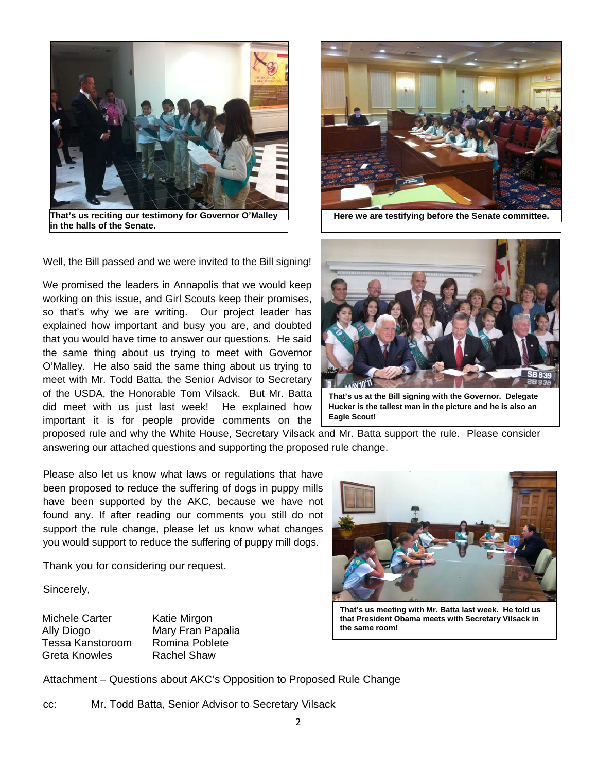

**That's us reciting our testimony for Governor O'Malley in the halls of the Senate.**



**Here we are testifying before the Senate committee.**

Well, the Bill passed and we were invited to the Bill signing!

We promised the leaders in Annapolis that we would keep working on this issue, and Girl Scouts keep their promises, so that's why we are writing. Our project leader has explained how important and busy you are, and doubted that you would have time to answer our questions. He said the same thing about us trying to meet with Governor O'Malley. He also said the same thing about us trying to meet with Mr. Todd Batta, the Senior Advisor to Secretary of the USDA, the Honorable Tom Vilsack. But Mr. Batta did meet with us just last week! He explained how important it is for people provide comments on the



**That's us at the Bill signing with the Governor. Delegate Hucker is the tallest man in the picture and he is also an Eagle Scout!**

proposed rule and why the White House, Secretary Vilsack and Mr. Batta support the rule. Please consider answering our attached questions and supporting the proposed rule change.

Please also let us know what laws or regulations that have been proposed to reduce the suffering of dogs in puppy mills have been supported by the AKC, because we have not found any. If after reading our comments you still do not support the rule change, please let us know what changes you would support to reduce the suffering of puppy mill dogs.

Thank you for considering our request.

Sincerely,

Michele Carter Ally Diogo Tessa Kanstoroom Greta Knowles

Katie Mirgon Mary Fran Papalia Romina Poblete Rachel Shaw



**That's us meeting with Mr. Batta last week. He told us that President Obama meets with Secretary Vilsack in the same room!** 

Attachment – Questions about AKC's Opposition to Proposed Rule Change

cc: Mr. Todd Batta, Senior Advisor to Secretary Vilsack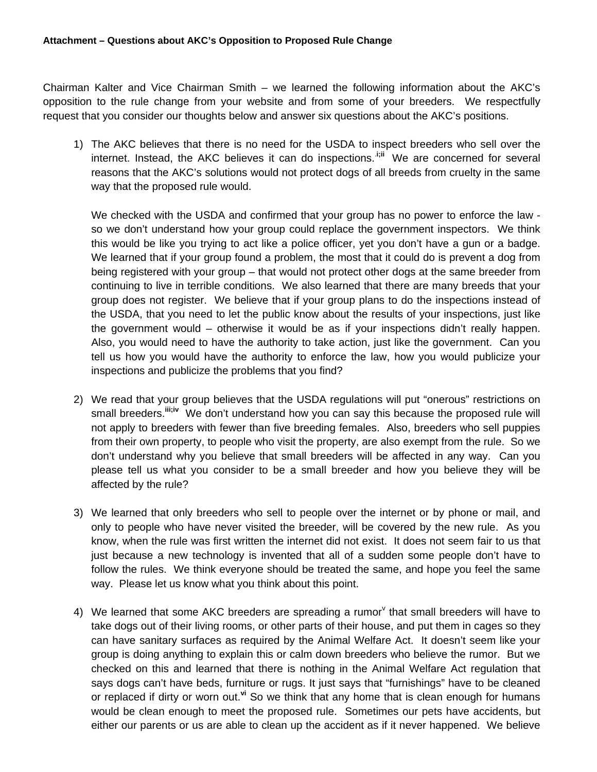Chairman Kalter and Vice Chairman Smith – we learned the following information about the AKC's opposition to the rule change from your website and from some of your breeders. We respectfully request that you consider our thoughts below and answer six questions about the AKC's positions.

1) The AKC believes that there is no need for the USDA to inspect breeders who sell over the internet. Instead, the AKC believes it can do inspections..**i;ii** We are concerned for several reasons that the AKC's solutions would not protect dogs of all breeds from cruelty in the same way that the proposed rule would.

We checked with the USDA and confirmed that your group has no power to enforce the law so we don't understand how your group could replace the government inspectors. We think this would be like you trying to act like a police officer, yet you don't have a gun or a badge. We learned that if your group found a problem, the most that it could do is prevent a dog from being registered with your group – that would not protect other dogs at the same breeder from continuing to live in terrible conditions. We also learned that there are many breeds that your group does not register. We believe that if your group plans to do the inspections instead of the USDA, that you need to let the public know about the results of your inspections, just like the government would – otherwise it would be as if your inspections didn't really happen. Also, you would need to have the authority to take action, just like the government. Can you tell us how you would have the authority to enforce the law, how you would publicize your inspections and publicize the problems that you find?

- 2) We read that your group believes that the USDA regulations will put "onerous" restrictions on small breeders.<sup>iii;iv</sup> We don't understand how you can say this because the proposed rule will not apply to breeders with fewer than five breeding females. Also, breeders who sell puppies from their own property, to people who visit the property, are also exempt from the rule. So we don't understand why you believe that small breeders will be affected in any way. Can you please tell us what you consider to be a small breeder and how you believe they will be affected by the rule?
- 3) We learned that only breeders who sell to people over the internet or by phone or mail, and only to people who have never visited the breeder, will be covered by the new rule. As you know, when the rule was first written the internet did not exist. It does not seem fair to us that just because a new technology is invented that all of a sudden some people don't have to follow the rules. We think everyone should be treated the same, and hope you feel the same way. Please let us know what you think about this point.
- 4) We learned that some AKC breeders are spreading a rumor $v$  that small breeders will have to take dogs out of their living rooms, or other parts of their house, and put them in cages so they can have sanitary surfaces as required by the Animal Welfare Act. It doesn't seem like your group is doing anything to explain this or calm down breeders who believe the rumor. But we checked on this and learned that there is nothing in the Animal Welfare Act regulation that says dogs can't have beds, furniture or rugs. It just says that "furnishings" have to be cleaned or replaced if dirty or worn out.**vi** So we think that any home that is clean enough for humans would be clean enough to meet the proposed rule. Sometimes our pets have accidents, but either our parents or us are able to clean up the accident as if it never happened. We believe